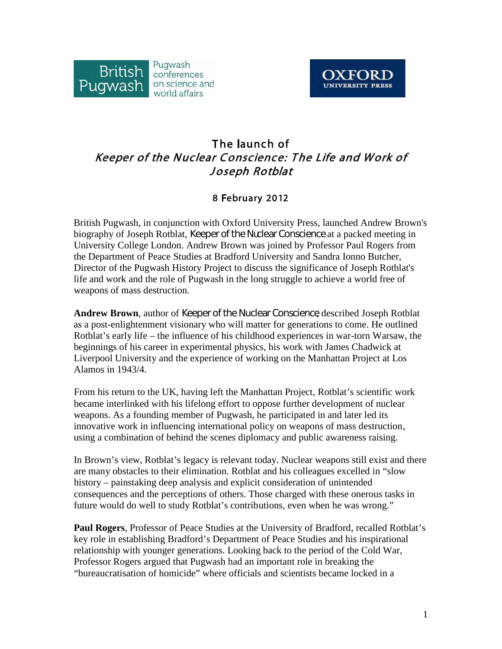



## **T he launch of** *Keeper of the Nuclear Conscience: T he Life and Work of J oseph Rotblat*

## **8 February 2012**

British Pugwash, in conjunction with Oxford University Press, launched Andrew Brown's biography of Joseph Rotblat, *Keeper of the Nuclear Conscience* at a packed meeting in University College London. Andrew Brown was joined by Professor Paul Rogers from the Department of Peace Studies at Bradford University and Sandra Ionno Butcher, Director of the Pugwash History Project to discuss the significance of Joseph Rotblat's life and work and the role of Pugwash in the long struggle to achieve a world free of weapons of mass destruction.

**Andrew Brown**, author of *Keeper of the Nuclear Conscience*, described Joseph Rotblat as a post-enlightenment visionary who will matter for generations to come. He outlined Rotblat's early life – the influence of his childhood experiences in war-torn Warsaw, the beginnings of his career in experimental physics, his work with James Chadwick at Liverpool University and the experience of working on the Manhattan Project at Los Alamos in 1943/4.

From his return to the UK, having left the Manhattan Project, Rotblat's scientific work became interlinked with his lifelong effort to oppose further development of nuclear weapons. As a founding member of Pugwash, he participated in and later led its innovative work in influencing international policy on weapons of mass destruction, using a combination of behind the scenes diplomacy and public awareness raising.

In Brown's view, Rotblat's legacy is relevant today. Nuclear weapons still exist and there are many obstacles to their elimination. Rotblat and his colleagues excelled in "slow history – painstaking deep analysis and explicit consideration of unintended consequences and the perceptions of others. Those charged with these onerous tasks in future would do well to study Rotblat's contributions, even when he was wrong."

**Paul Rogers**, Professor of Peace Studies at the University of Bradford, recalled Rotblat's key role in establishing Bradford's Department of Peace Studies and his inspirational relationship with younger generations. Looking back to the period of the Cold War, Professor Rogers argued that Pugwash had an important role in breaking the "bureaucratisation of homicide" where officials and scientists became locked in a